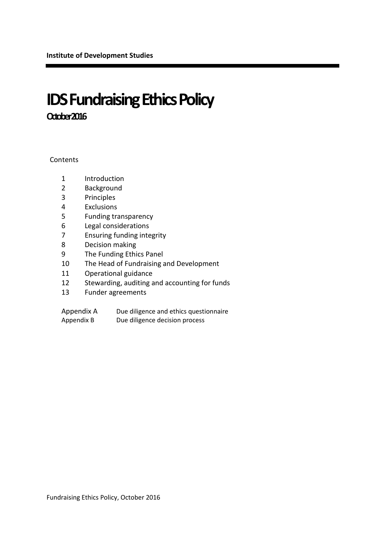# **IDS Fundraising Ethics Policy October 2016**

**Contents** 

- Introduction
- Background
- Principles
- Exclusions
- Funding transparency
- Legal considerations
- Ensuring funding integrity
- Decision making
- The Funding Ethics Panel
- The Head of Fundraising and Development
- Operational guidance
- Stewarding, auditing and accounting for funds
- Funder agreements

| Appendix A | Due diligence and ethics questionnaire |
|------------|----------------------------------------|
| Appendix B | Due diligence decision process         |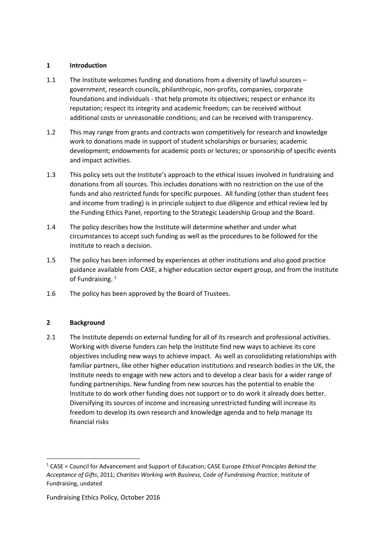### **1 Introduction**

- 1.1 The Institute welcomes funding and donations from a diversity of lawful sources government, research councils, philanthropic, non-profits, companies, corporate foundations and individuals - that help promote its objectives; respect or enhance its reputation; respect its integrity and academic freedom; can be received without additional costs or unreasonable conditions; and can be received with transparency.
- 1.2 This may range from grants and contracts won competitively for research and knowledge work to donations made in support of student scholarships or bursaries; academic development; endowments for academic posts or lectures; or sponsorship of specific events and impact activities.
- 1.3 This policy sets out the Institute's approach to the ethical issues involved in fundraising and donations from all sources. This includes donations with no restriction on the use of the funds and also restricted funds for specific purposes. All funding (other than student fees and income from trading) is in principle subject to due diligence and ethical review led by the Funding Ethics Panel, reporting to the Strategic Leadership Group and the Board.
- 1.4 The policy describes how the Institute will determine whether and under what circumstances to accept such funding as well as the procedures to be followed for the Institute to reach a decision.
- 1.5 The policy has been informed by experiences at other institutions and also good practice guidance available from CASE, a higher education sector expert group, and from the Institute of Fundraising.<sup>1</sup>
- 1.6 The policy has been approved by the Board of Trustees.

# **2 Background**

1

2.1 The Institute depends on external funding for all of its research and professional activities. Working with diverse funders can help the Institute find new ways to achieve its core objectives including new ways to achieve impact. As well as consolidating relationships with familiar partners, like other higher education institutions and research bodies in the UK, the Institute needs to engage with new actors and to develop a clear basis for a wider range of funding partnerships. New funding from new sources has the potential to enable the Institute to do work other funding does not support or to do work it already does better. Diversifying its sources of income and increasing unrestricted funding will increase its freedom to develop its own research and knowledge agenda and to help manage its financial risks

<sup>1</sup> CASE = Council for Advancement and Support of Education; CASE Europe *Ethical Principles Behind the Acceptance of Gifts*, 2011; *Charities Working with Business, Code of Fundraising Practice*, Institute of Fundraising, undated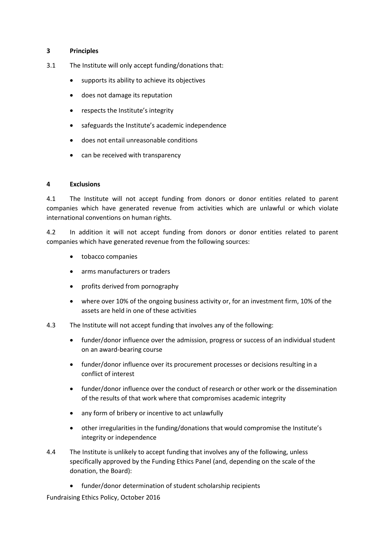#### **3 Principles**

- 3.1 The Institute will only accept funding/donations that:
	- supports its ability to achieve its objectives
	- does not damage its reputation
	- respects the Institute's integrity
	- safeguards the Institute's academic independence
	- does not entail unreasonable conditions
	- can be received with transparency

#### **4 Exclusions**

4.1 The Institute will not accept funding from donors or donor entities related to parent companies which have generated revenue from activities which are unlawful or which violate international conventions on human rights.

4.2 In addition it will not accept funding from donors or donor entities related to parent companies which have generated revenue from the following sources:

- tobacco companies
- arms manufacturers or traders
- profits derived from pornography
- where over 10% of the ongoing business activity or, for an investment firm, 10% of the assets are held in one of these activities
- 4.3 The Institute will not accept funding that involves any of the following:
	- funder/donor influence over the admission, progress or success of an individual student on an award-bearing course
	- funder/donor influence over its procurement processes or decisions resulting in a conflict of interest
	- funder/donor influence over the conduct of research or other work or the dissemination of the results of that work where that compromises academic integrity
	- any form of bribery or incentive to act unlawfully
	- other irregularities in the funding/donations that would compromise the Institute's integrity or independence
- 4.4 The Institute is unlikely to accept funding that involves any of the following, unless specifically approved by the Funding Ethics Panel (and, depending on the scale of the donation, the Board):
	- funder/donor determination of student scholarship recipients

Fundraising Ethics Policy, October 2016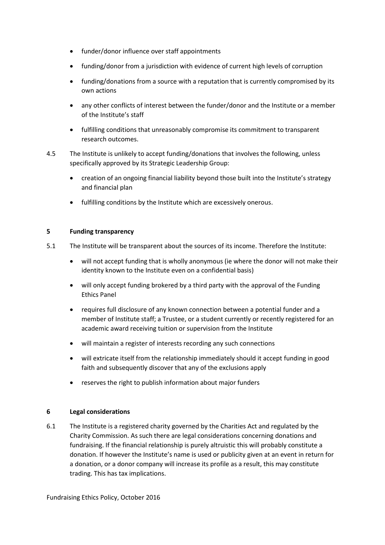- funder/donor influence over staff appointments
- funding/donor from a jurisdiction with evidence of current high levels of corruption
- funding/donations from a source with a reputation that is currently compromised by its own actions
- any other conflicts of interest between the funder/donor and the Institute or a member of the Institute's staff
- fulfilling conditions that unreasonably compromise its commitment to transparent research outcomes.
- 4.5 The Institute is unlikely to accept funding/donations that involves the following, unless specifically approved by its Strategic Leadership Group:
	- creation of an ongoing financial liability beyond those built into the Institute's strategy and financial plan
	- fulfilling conditions by the Institute which are excessively onerous.

#### **5 Funding transparency**

- 5.1 The Institute will be transparent about the sources of its income. Therefore the Institute:
	- will not accept funding that is wholly anonymous (ie where the donor will not make their identity known to the Institute even on a confidential basis)
	- will only accept funding brokered by a third party with the approval of the Funding Ethics Panel
	- requires full disclosure of any known connection between a potential funder and a member of Institute staff; a Trustee, or a student currently or recently registered for an academic award receiving tuition or supervision from the Institute
	- will maintain a register of interests recording any such connections
	- will extricate itself from the relationship immediately should it accept funding in good faith and subsequently discover that any of the exclusions apply
	- reserves the right to publish information about major funders

#### **6 Legal considerations**

6.1 The Institute is a registered charity governed by the Charities Act and regulated by the Charity Commission. As such there are legal considerations concerning donations and fundraising. If the financial relationship is purely altruistic this will probably constitute a donation. If however the Institute's name is used or publicity given at an event in return for a donation, or a donor company will increase its profile as a result, this may constitute trading. This has tax implications.

Fundraising Ethics Policy, October 2016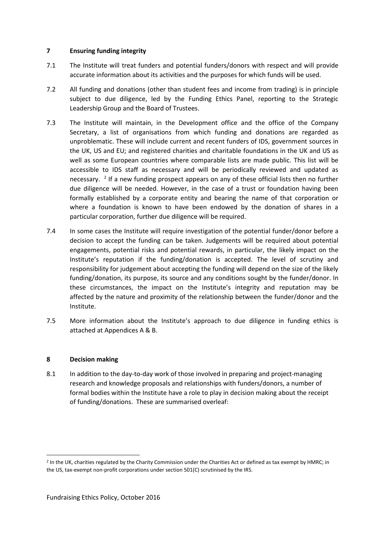#### **7 Ensuring funding integrity**

- 7.1 The Institute will treat funders and potential funders/donors with respect and will provide accurate information about its activities and the purposes for which funds will be used.
- 7.2 All funding and donations (other than student fees and income from trading) is in principle subject to due diligence, led by the Funding Ethics Panel, reporting to the Strategic Leadership Group and the Board of Trustees.
- 7.3 The Institute will maintain, in the Development office and the office of the Company Secretary, a list of organisations from which funding and donations are regarded as unproblematic. These will include current and recent funders of IDS, government sources in the UK, US and EU; and registered charities and charitable foundations in the UK and US as well as some European countries where comparable lists are made public. This list will be accessible to IDS staff as necessary and will be periodically reviewed and updated as necessary.<sup>2</sup> If a new funding prospect appears on any of these official lists then no further due diligence will be needed. However, in the case of a trust or foundation having been formally established by a corporate entity and bearing the name of that corporation or where a foundation is known to have been endowed by the donation of shares in a particular corporation, further due diligence will be required.
- 7.4 In some cases the Institute will require investigation of the potential funder/donor before a decision to accept the funding can be taken. Judgements will be required about potential engagements, potential risks and potential rewards, in particular, the likely impact on the Institute's reputation if the funding/donation is accepted. The level of scrutiny and responsibility for judgement about accepting the funding will depend on the size of the likely funding/donation, its purpose, its source and any conditions sought by the funder/donor. In these circumstances, the impact on the Institute's integrity and reputation may be affected by the nature and proximity of the relationship between the funder/donor and the Institute.
- 7.5 More information about the Institute's approach to due diligence in funding ethics is attached at Appendices A & B.

# **8 Decision making**

**.** 

8.1 In addition to the day-to-day work of those involved in preparing and project-managing research and knowledge proposals and relationships with funders/donors, a number of formal bodies within the Institute have a role to play in decision making about the receipt of funding/donations. These are summarised overleaf:

<sup>&</sup>lt;sup>2</sup> In the UK, charities regulated by the Charity Commission under the Charities Act or defined as tax exempt by HMRC; in the US, tax-exempt non-profit corporations under section 501(C) scrutinised by the IRS.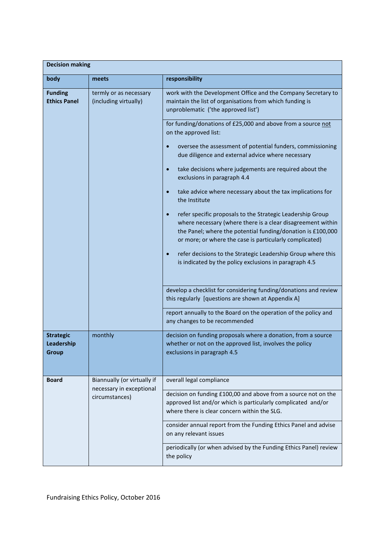| <b>Decision making</b>                  |                                                 |                                                                                                                                                                                                                                                     |  |  |  |
|-----------------------------------------|-------------------------------------------------|-----------------------------------------------------------------------------------------------------------------------------------------------------------------------------------------------------------------------------------------------------|--|--|--|
| body                                    | meets                                           | responsibility                                                                                                                                                                                                                                      |  |  |  |
| <b>Funding</b><br><b>Ethics Panel</b>   | termly or as necessary<br>(including virtually) | work with the Development Office and the Company Secretary to<br>maintain the list of organisations from which funding is<br>unproblematic ('the approved list')                                                                                    |  |  |  |
|                                         |                                                 | for funding/donations of £25,000 and above from a source not<br>on the approved list:                                                                                                                                                               |  |  |  |
|                                         |                                                 | oversee the assessment of potential funders, commissioning<br>$\bullet$<br>due diligence and external advice where necessary                                                                                                                        |  |  |  |
|                                         |                                                 | take decisions where judgements are required about the<br>$\bullet$<br>exclusions in paragraph 4.4                                                                                                                                                  |  |  |  |
|                                         |                                                 | take advice where necessary about the tax implications for<br>$\bullet$<br>the Institute                                                                                                                                                            |  |  |  |
|                                         |                                                 | refer specific proposals to the Strategic Leadership Group<br>where necessary (where there is a clear disagreement within<br>the Panel; where the potential funding/donation is £100,000<br>or more; or where the case is particularly complicated) |  |  |  |
|                                         |                                                 | refer decisions to the Strategic Leadership Group where this<br>is indicated by the policy exclusions in paragraph 4.5                                                                                                                              |  |  |  |
|                                         |                                                 | develop a checklist for considering funding/donations and review<br>this regularly [questions are shown at Appendix A]                                                                                                                              |  |  |  |
|                                         |                                                 | report annually to the Board on the operation of the policy and<br>any changes to be recommended                                                                                                                                                    |  |  |  |
| <b>Strategic</b><br>Leadership<br>Group | monthly                                         | decision on funding proposals where a donation, from a source<br>whether or not on the approved list, involves the policy<br>exclusions in paragraph 4.5                                                                                            |  |  |  |
| <b>Board</b>                            | Biannually (or virtually if                     | overall legal compliance                                                                                                                                                                                                                            |  |  |  |
|                                         | necessary in exceptional<br>circumstances)      | decision on funding £100,00 and above from a source not on the<br>approved list and/or which is particularly complicated and/or<br>where there is clear concern within the SLG.                                                                     |  |  |  |
|                                         |                                                 | consider annual report from the Funding Ethics Panel and advise<br>on any relevant issues                                                                                                                                                           |  |  |  |
|                                         |                                                 | periodically (or when advised by the Funding Ethics Panel) review<br>the policy                                                                                                                                                                     |  |  |  |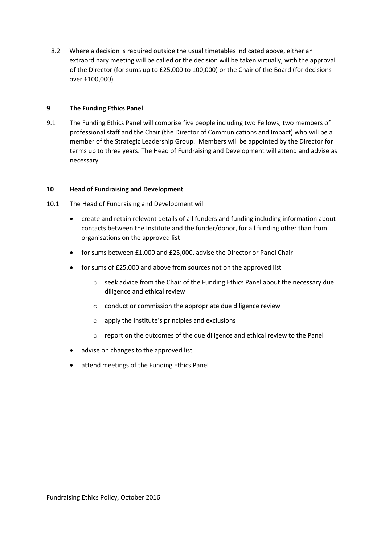8.2 Where a decision is required outside the usual timetables indicated above, either an extraordinary meeting will be called or the decision will be taken virtually, with the approval of the Director (for sums up to £25,000 to 100,000) or the Chair of the Board (for decisions over £100,000).

#### **9 The Funding Ethics Panel**

9.1 The Funding Ethics Panel will comprise five people including two Fellows; two members of professional staff and the Chair (the Director of Communications and Impact) who will be a member of the Strategic Leadership Group. Members will be appointed by the Director for terms up to three years. The Head of Fundraising and Development will attend and advise as necessary.

#### **10 Head of Fundraising and Development**

- 10.1 The Head of Fundraising and Development will
	- create and retain relevant details of all funders and funding including information about contacts between the Institute and the funder/donor, for all funding other than from organisations on the approved list
	- for sums between £1,000 and £25,000, advise the Director or Panel Chair
	- for sums of £25,000 and above from sources not on the approved list
		- o seek advice from the Chair of the Funding Ethics Panel about the necessary due diligence and ethical review
		- o conduct or commission the appropriate due diligence review
		- o apply the Institute's principles and exclusions
		- o report on the outcomes of the due diligence and ethical review to the Panel
	- advise on changes to the approved list
	- attend meetings of the Funding Ethics Panel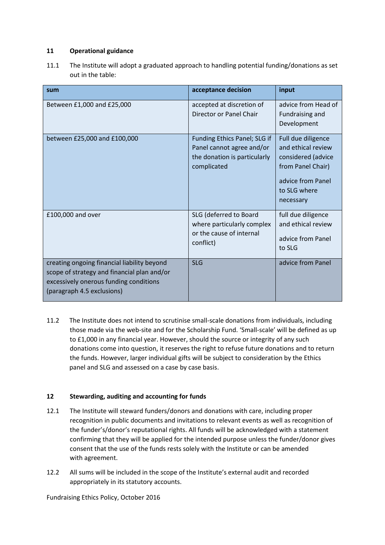# **11 Operational guidance**

11.1 The Institute will adopt a graduated approach to handling potential funding/donations as set out in the table:

| sum                                                                                                                                                                | acceptance decision                                                                                      | input                                                                                                                                 |
|--------------------------------------------------------------------------------------------------------------------------------------------------------------------|----------------------------------------------------------------------------------------------------------|---------------------------------------------------------------------------------------------------------------------------------------|
| Between £1,000 and £25,000                                                                                                                                         | accepted at discretion of<br>Director or Panel Chair                                                     | advice from Head of<br>Fundraising and<br>Development                                                                                 |
| between £25,000 and £100,000                                                                                                                                       | Funding Ethics Panel; SLG if<br>Panel cannot agree and/or<br>the donation is particularly<br>complicated | Full due diligence<br>and ethical review<br>considered (advice<br>from Panel Chair)<br>advice from Panel<br>to SLG where<br>necessary |
| £100,000 and over                                                                                                                                                  | SLG (deferred to Board<br>where particularly complex<br>or the cause of internal<br>conflict)            | full due diligence<br>and ethical review<br>advice from Panel<br>to SLG                                                               |
| creating ongoing financial liability beyond<br>scope of strategy and financial plan and/or<br>excessively onerous funding conditions<br>(paragraph 4.5 exclusions) | <b>SLG</b>                                                                                               | advice from Panel                                                                                                                     |

11.2 The Institute does not intend to scrutinise small-scale donations from individuals, including those made via the web-site and for the Scholarship Fund. 'Small-scale' will be defined as up to £1,000 in any financial year. However, should the source or integrity of any such donations come into question, it reserves the right to refuse future donations and to return the funds. However, larger individual gifts will be subject to consideration by the Ethics panel and SLG and assessed on a case by case basis.

# **12 Stewarding, auditing and accounting for funds**

- 12.1 The Institute will steward funders/donors and donations with care, including proper recognition in public documents and invitations to relevant events as well as recognition of the funder's/donor's reputational rights. All funds will be acknowledged with a statement confirming that they will be applied for the intended purpose unless the funder/donor gives consent that the use of the funds rests solely with the Institute or can be amended with agreement.
- 12.2 All sums will be included in the scope of the Institute's external audit and recorded appropriately in its statutory accounts.

Fundraising Ethics Policy, October 2016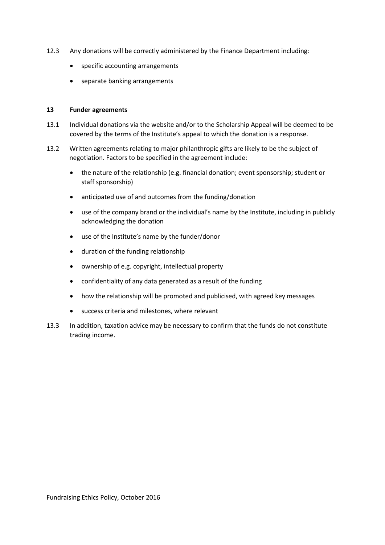- 12.3 Any donations will be correctly administered by the Finance Department including:
	- specific accounting arrangements
	- separate banking arrangements

#### **13 Funder agreements**

- 13.1 Individual donations via the website and/or to the Scholarship Appeal will be deemed to be covered by the terms of the Institute's appeal to which the donation is a response.
- 13.2 Written agreements relating to major philanthropic gifts are likely to be the subject of negotiation. Factors to be specified in the agreement include:
	- the nature of the relationship (e.g. financial donation; event sponsorship; student or staff sponsorship)
	- anticipated use of and outcomes from the funding/donation
	- use of the company brand or the individual's name by the Institute, including in publicly acknowledging the donation
	- use of the Institute's name by the funder/donor
	- duration of the funding relationship
	- ownership of e.g. copyright, intellectual property
	- confidentiality of any data generated as a result of the funding
	- how the relationship will be promoted and publicised, with agreed key messages
	- success criteria and milestones, where relevant
- 13.3 In addition, taxation advice may be necessary to confirm that the funds do not constitute trading income.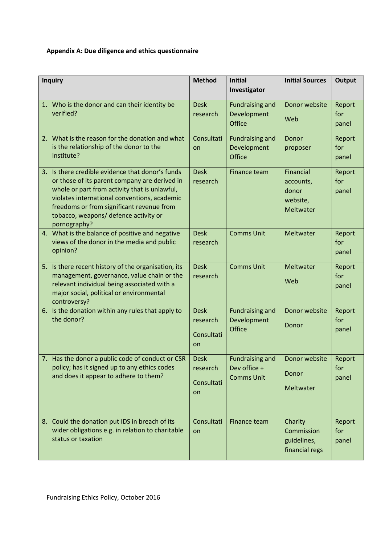# **Appendix A: Due diligence and ethics questionnaire**

| <b>Inquiry</b>                                                                                                                                                                                                                                                                                           | <b>Method</b>                               | <b>Initial</b>                                              | <b>Initial Sources</b>                                          | <b>Output</b>          |
|----------------------------------------------------------------------------------------------------------------------------------------------------------------------------------------------------------------------------------------------------------------------------------------------------------|---------------------------------------------|-------------------------------------------------------------|-----------------------------------------------------------------|------------------------|
|                                                                                                                                                                                                                                                                                                          |                                             | Investigator                                                |                                                                 |                        |
| 1. Who is the donor and can their identity be<br>verified?                                                                                                                                                                                                                                               | <b>Desk</b><br>research                     | <b>Fundraising and</b><br>Development<br><b>Office</b>      | Donor website<br>Web                                            | Report<br>for<br>panel |
| 2. What is the reason for the donation and what<br>is the relationship of the donor to the<br>Institute?                                                                                                                                                                                                 | Consultati<br>on                            | <b>Fundraising and</b><br>Development<br><b>Office</b>      | Donor<br>proposer                                               | Report<br>for<br>panel |
| 3. Is there credible evidence that donor's funds<br>or those of its parent company are derived in<br>whole or part from activity that is unlawful,<br>violates international conventions, academic<br>freedoms or from significant revenue from<br>tobacco, weapons/ defence activity or<br>pornography? | <b>Desk</b><br>research                     | Finance team                                                | Financial<br>accounts,<br>donor<br>website,<br><b>Meltwater</b> | Report<br>for<br>panel |
| 4. What is the balance of positive and negative<br>views of the donor in the media and public<br>opinion?                                                                                                                                                                                                | <b>Desk</b><br>research                     | <b>Comms Unit</b>                                           | Meltwater                                                       | Report<br>for<br>panel |
| 5. Is there recent history of the organisation, its<br>management, governance, value chain or the<br>relevant individual being associated with a<br>major social, political or environmental<br>controversy?                                                                                             | <b>Desk</b><br>research                     | <b>Comms Unit</b>                                           | Meltwater<br>Web                                                | Report<br>for<br>panel |
| 6. Is the donation within any rules that apply to<br>the donor?                                                                                                                                                                                                                                          | <b>Desk</b><br>research<br>Consultati<br>on | <b>Fundraising and</b><br>Development<br>Office             | Donor website<br>Donor                                          | Report<br>for<br>panel |
| 7. Has the donor a public code of conduct or CSR<br>policy; has it signed up to any ethics codes<br>and does it appear to adhere to them?                                                                                                                                                                | <b>Desk</b><br>research<br>Consultati<br>on | <b>Fundraising and</b><br>Dev office +<br><b>Comms Unit</b> | Donor website<br>Donor<br>Meltwater                             | Report<br>for<br>panel |
| 8. Could the donation put IDS in breach of its<br>wider obligations e.g. in relation to charitable<br>status or taxation                                                                                                                                                                                 | Consultati<br>on                            | Finance team                                                | Charity<br>Commission<br>guidelines,<br>financial regs          | Report<br>for<br>panel |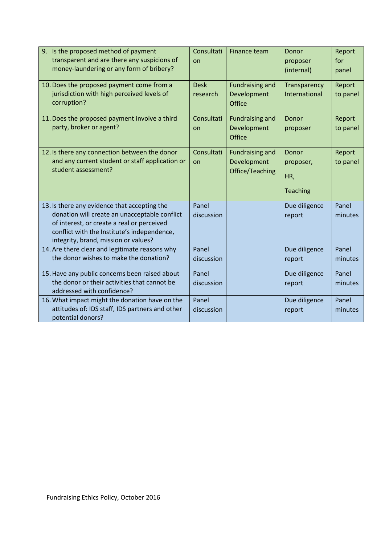| 9. Is the proposed method of payment<br>transparent and are there any suspicions of<br>money-laundering or any form of bribery?                                                                                                    | Consultati<br>on        | <b>Finance team</b>                                      | Donor<br>proposer<br>(internal)              | Report<br>for<br>panel |
|------------------------------------------------------------------------------------------------------------------------------------------------------------------------------------------------------------------------------------|-------------------------|----------------------------------------------------------|----------------------------------------------|------------------------|
| 10. Does the proposed payment come from a<br>jurisdiction with high perceived levels of<br>corruption?                                                                                                                             | <b>Desk</b><br>research | <b>Fundraising and</b><br>Development<br><b>Office</b>   | Transparency<br><b>International</b>         | Report<br>to panel     |
| 11. Does the proposed payment involve a third<br>party, broker or agent?                                                                                                                                                           | Consultati<br>on        | <b>Fundraising and</b><br>Development<br><b>Office</b>   | Donor<br>proposer                            | Report<br>to panel     |
| 12. Is there any connection between the donor<br>and any current student or staff application or<br>student assessment?                                                                                                            | Consultati<br>on        | <b>Fundraising and</b><br>Development<br>Office/Teaching | Donor<br>proposer,<br>HR,<br><b>Teaching</b> | Report<br>to panel     |
| 13. Is there any evidence that accepting the<br>donation will create an unacceptable conflict<br>of interest, or create a real or perceived<br>conflict with the Institute's independence,<br>integrity, brand, mission or values? | Panel<br>discussion     |                                                          | Due diligence<br>report                      | Panel<br>minutes       |
| 14. Are there clear and legitimate reasons why<br>the donor wishes to make the donation?                                                                                                                                           | Panel<br>discussion     |                                                          | Due diligence<br>report                      | Panel<br>minutes       |
| 15. Have any public concerns been raised about<br>the donor or their activities that cannot be<br>addressed with confidence?                                                                                                       | Panel<br>discussion     |                                                          | Due diligence<br>report                      | Panel<br>minutes       |
| 16. What impact might the donation have on the<br>attitudes of: IDS staff, IDS partners and other<br>potential donors?                                                                                                             | Panel<br>discussion     |                                                          | Due diligence<br>report                      | Panel<br>minutes       |